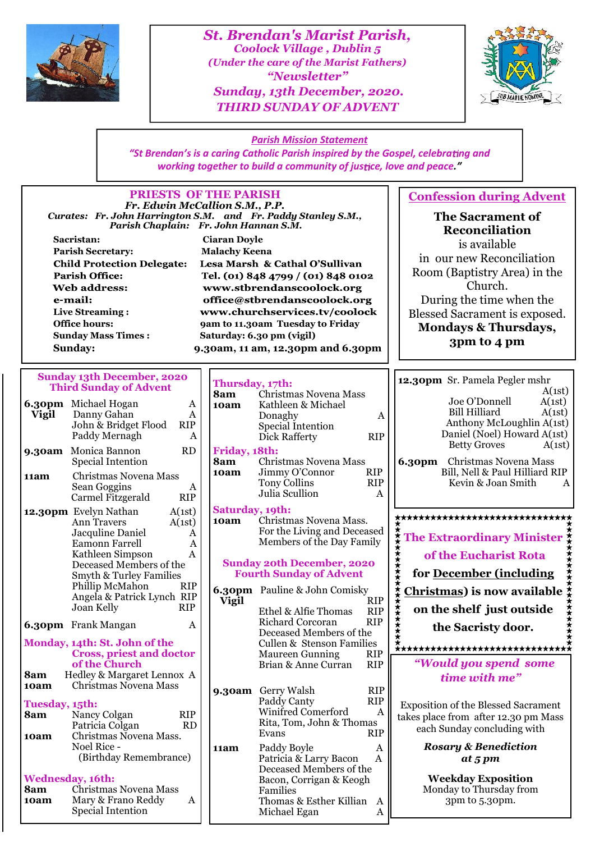

*St. Brendan's Marist Parish, Coolock Village , Dublin 5 (Under the care of the Marist Fathers) "Newsletter" Sunday, 13th December, 2020. THIRD SUNDAY OF ADVENT*



*Parish Mission Statement "St Brendan's is a caring Catholic Parish inspired by the Gospel, celebra ng and working together to build a community of justice, love and peace."* 

#### **PRIESTS OF THE PARISH Confession during Advent** *Fr. Edwin McCallion S.M., P.P. Curates: Fr. John Harrington S.M. and Fr. Paddy Stanley S.M.,* **The Sacrament of** *Parish Chaplain: Fr. John Hannan S.M.* **Reconciliation Sacristan: Ciaran Doyle** is available **Parish Secretary: Malachy Keena** in our new Reconciliation **Child Protection Delegate:** Lesa Marsh & Cathal O'Sullivan Room (Baptistry Area) in the **Parish Office:** Tel. (01) 848 4799 / (01) 848 0102 Church. **Web address:** www.stbrendanscoolock.org During the time when the e-mail: office@stbrendanscoolock.org **Live Streaming :** www.churchservices.tv/coolock Blessed Sacrament is exposed. **Office hours: 9am to 11.30am Tuesday to Friday Mondays & Thursdays, Sunday Mass Times : Saturday: 6.30 pm (vigil) 3pm to 4 pm Sunday: 9.30am, 11 am, 12.30pm and 6.30pm Sunday 13th December, 2020 12.30pm** Sr. Pamela Pegler mshr **Thursday, 17th: Third Sunday of Advent**  $A(1st)$ <br> $A(1st)$ **8am** Christmas Novena Mass Joe O'Donnell A(1st)<br>Bill Hilliard A(1st) **6.30pm** Michael Hogan A | 10am **10am** Kathleen & Michael Bill Hilliard **Vigil** Danny Gahan A<br>John & Bridget Flood RIP Donaghy A Anthony McLoughlin A(1st) John & Bridget Flood Special Intention<br>Dick Rafferty RIP Daniel (Noel) Howard A(1st) Paddy Mernagh A Dick Rafferty Betty Groves  $A(1st)$ **9.30am** Monica Bannon RD Frida<br>Special Intention **RD** 8am **Friday, 18th:** Special Intention **8am** Christmas Novena Mass<br>**10am** Jimmy O'Connor RIP **6.30pm** Christmas Novena Mass **Jimmy O'Connor** Bill, Nell & Paul Hilliard RIP **11am** Christmas Novena Mass<br>Sean Goggins Tony Collins RIP Kevin & Joan Smith ASean Goggins A<br>Carmel Fitzgerald RIP Julia Scullion A Carmel Fitzgerald **Saturday, 19th: 12.30pm** Evelyn Nathan  $A(1st)$  **Sature**<br>Ann Travers  $A(1st)$  **10am** <del>\*\*\*\*\*\*\*\*\*\*\*\*\*\*\*\*\*\*\*\*\*\*\*\*\*\*\*\*\*</del>\* **10am** Christmas Novena Mass. Ann Travers A(1st) For the Living and Deceased Jacquline Daniel A **The Extraordinary Minister** Members of the Day Family Eamonn Farrell Kathleen Simpson A **of the Eucharist Rota** Deceased Members of the **Sunday 20th December, 2020 Fourth Sunday of Advent for December (including** Smyth & Turley Families Phillip McMahon **6.30pm** Pauline & John Comisky **Christmas) is now available** Angela & Patrick Lynch RIP<br>Joan Kelly RIP Vigil **Vigil** RIP Ethel & Alfie Thomas<br>Richard Corcoran RIP Joan Kelly **on the shelf just outside** Richard Corcoran **6.30pm** Frank Mangan A **the Sacristy door.** Deceased Members of the **Monday, 14th: St. John of the** Cullen & Stenson Families<br>Maureen Gunning RIP **Cross, priest and doctor** Maureen Gunning RIP<br>Brian & Anne Curran RIP *"Would you spend some* **of the Church** Brian & Anne Curran **8am** Hedley & Margaret Lennox A<br>**10am** Christmas Novena Mass *time with me"* **10am** Christmas Novena Mass **9.30am** Gerry Walsh RIP Paddy Canty **RIP Tuesday, 15th:** Exposition of the Blessed Sacrament Winifred Comerford A **8** Nancy Colgan RIP<br>Patricia Colgan RD takes place from after 12.30 pm Mass Rita, Tom, John & Thomas Patricia Colgan each Sunday concluding with **Evans 10am** Christmas Novena Mass. *Rosary & Benediction* Noel Rice - **11am** Paddy Boyle A<br>Patricia & Larry Bacon A (Birthday Remembrance) Patricia & Larry Bacon *at 5 pm* Deceased Members of the **Wednesday, 16th: Weekday Exposition** Bacon, Corrigan & Keogh **8am** Christmas Novena Mass Monday to Thursday from Families **10am** Mary & Frano Reddy A Thomas & Esther Killian A 3pm to 5.30pm. Special Intention Michael Egan A